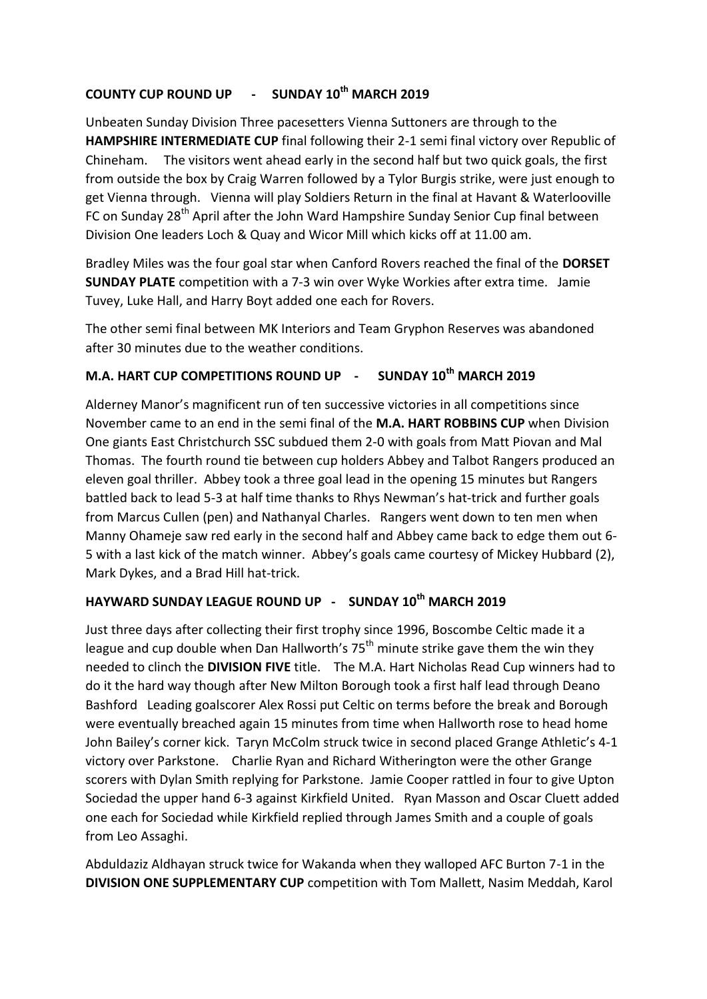## **COUNTY CUP ROUND UP - SUNDAY 10th MARCH 2019**

Unbeaten Sunday Division Three pacesetters Vienna Suttoners are through to the **HAMPSHIRE INTERMEDIATE CUP** final following their 2-1 semi final victory over Republic of Chineham. The visitors went ahead early in the second half but two quick goals, the first from outside the box by Craig Warren followed by a Tylor Burgis strike, were just enough to get Vienna through. Vienna will play Soldiers Return in the final at Havant & Waterlooville FC on Sunday 28<sup>th</sup> April after the John Ward Hampshire Sunday Senior Cup final between Division One leaders Loch & Quay and Wicor Mill which kicks off at 11.00 am.

Bradley Miles was the four goal star when Canford Rovers reached the final of the **DORSET SUNDAY PLATE** competition with a 7-3 win over Wyke Workies after extra time. Jamie Tuvey, Luke Hall, and Harry Boyt added one each for Rovers.

The other semi final between MK Interiors and Team Gryphon Reserves was abandoned after 30 minutes due to the weather conditions.

## **M.A. HART CUP COMPETITIONS ROUND UP - SUNDAY 10th MARCH 2019**

Alderney Manor's magnificent run of ten successive victories in all competitions since November came to an end in the semi final of the **M.A. HART ROBBINS CUP** when Division One giants East Christchurch SSC subdued them 2-0 with goals from Matt Piovan and Mal Thomas. The fourth round tie between cup holders Abbey and Talbot Rangers produced an eleven goal thriller. Abbey took a three goal lead in the opening 15 minutes but Rangers battled back to lead 5-3 at half time thanks to Rhys Newman's hat-trick and further goals from Marcus Cullen (pen) and Nathanyal Charles. Rangers went down to ten men when Manny Ohameje saw red early in the second half and Abbey came back to edge them out 6- 5 with a last kick of the match winner. Abbey's goals came courtesy of Mickey Hubbard (2), Mark Dykes, and a Brad Hill hat-trick.

## **HAYWARD SUNDAY LEAGUE ROUND UP - SUNDAY 10th MARCH 2019**

Just three days after collecting their first trophy since 1996, Boscombe Celtic made it a league and cup double when Dan Hallworth's  $75<sup>th</sup>$  minute strike gave them the win they needed to clinch the **DIVISION FIVE** title. The M.A. Hart Nicholas Read Cup winners had to do it the hard way though after New Milton Borough took a first half lead through Deano Bashford Leading goalscorer Alex Rossi put Celtic on terms before the break and Borough were eventually breached again 15 minutes from time when Hallworth rose to head home John Bailey's corner kick. Taryn McColm struck twice in second placed Grange Athletic's 4-1 victory over Parkstone. Charlie Ryan and Richard Witherington were the other Grange scorers with Dylan Smith replying for Parkstone. Jamie Cooper rattled in four to give Upton Sociedad the upper hand 6-3 against Kirkfield United. Ryan Masson and Oscar Cluett added one each for Sociedad while Kirkfield replied through James Smith and a couple of goals from Leo Assaghi.

Abduldaziz Aldhayan struck twice for Wakanda when they walloped AFC Burton 7-1 in the **DIVISION ONE SUPPLEMENTARY CUP** competition with Tom Mallett, Nasim Meddah, Karol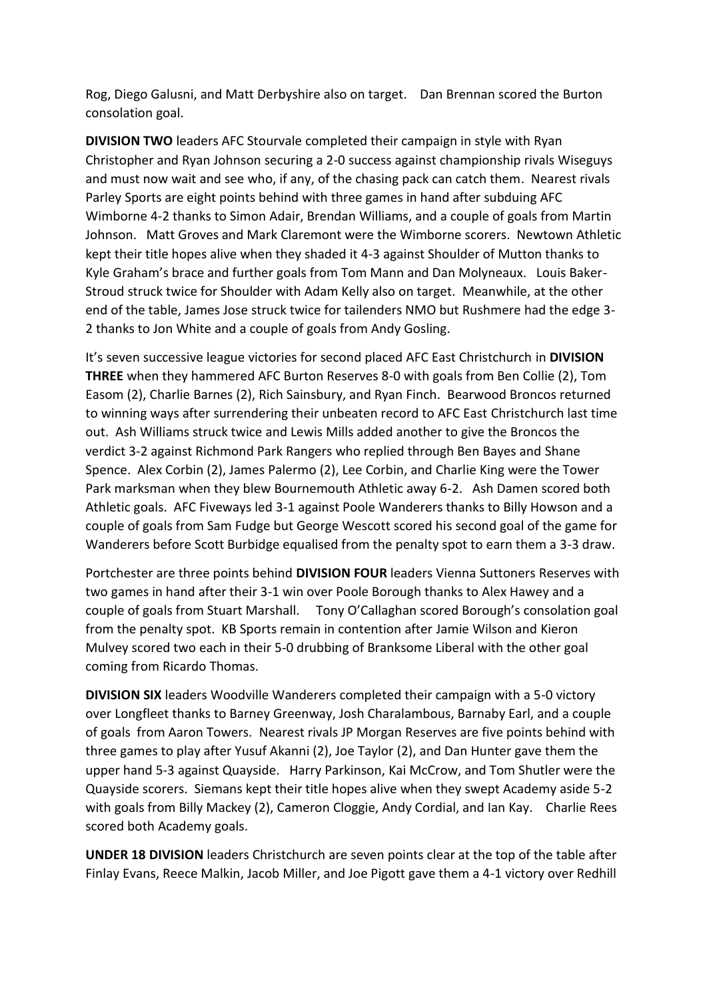Rog, Diego Galusni, and Matt Derbyshire also on target. Dan Brennan scored the Burton consolation goal.

**DIVISION TWO** leaders AFC Stourvale completed their campaign in style with Ryan Christopher and Ryan Johnson securing a 2-0 success against championship rivals Wiseguys and must now wait and see who, if any, of the chasing pack can catch them. Nearest rivals Parley Sports are eight points behind with three games in hand after subduing AFC Wimborne 4-2 thanks to Simon Adair, Brendan Williams, and a couple of goals from Martin Johnson. Matt Groves and Mark Claremont were the Wimborne scorers. Newtown Athletic kept their title hopes alive when they shaded it 4-3 against Shoulder of Mutton thanks to Kyle Graham's brace and further goals from Tom Mann and Dan Molyneaux. Louis Baker-Stroud struck twice for Shoulder with Adam Kelly also on target. Meanwhile, at the other end of the table, James Jose struck twice for tailenders NMO but Rushmere had the edge 3- 2 thanks to Jon White and a couple of goals from Andy Gosling.

It's seven successive league victories for second placed AFC East Christchurch in **DIVISION THREE** when they hammered AFC Burton Reserves 8-0 with goals from Ben Collie (2), Tom Easom (2), Charlie Barnes (2), Rich Sainsbury, and Ryan Finch. Bearwood Broncos returned to winning ways after surrendering their unbeaten record to AFC East Christchurch last time out. Ash Williams struck twice and Lewis Mills added another to give the Broncos the verdict 3-2 against Richmond Park Rangers who replied through Ben Bayes and Shane Spence. Alex Corbin (2), James Palermo (2), Lee Corbin, and Charlie King were the Tower Park marksman when they blew Bournemouth Athletic away 6-2. Ash Damen scored both Athletic goals. AFC Fiveways led 3-1 against Poole Wanderers thanks to Billy Howson and a couple of goals from Sam Fudge but George Wescott scored his second goal of the game for Wanderers before Scott Burbidge equalised from the penalty spot to earn them a 3-3 draw.

Portchester are three points behind **DIVISION FOUR** leaders Vienna Suttoners Reserves with two games in hand after their 3-1 win over Poole Borough thanks to Alex Hawey and a couple of goals from Stuart Marshall. Tony O'Callaghan scored Borough's consolation goal from the penalty spot. KB Sports remain in contention after Jamie Wilson and Kieron Mulvey scored two each in their 5-0 drubbing of Branksome Liberal with the other goal coming from Ricardo Thomas.

**DIVISION SIX** leaders Woodville Wanderers completed their campaign with a 5-0 victory over Longfleet thanks to Barney Greenway, Josh Charalambous, Barnaby Earl, and a couple of goals from Aaron Towers. Nearest rivals JP Morgan Reserves are five points behind with three games to play after Yusuf Akanni (2), Joe Taylor (2), and Dan Hunter gave them the upper hand 5-3 against Quayside. Harry Parkinson, Kai McCrow, and Tom Shutler were the Quayside scorers. Siemans kept their title hopes alive when they swept Academy aside 5-2 with goals from Billy Mackey (2), Cameron Cloggie, Andy Cordial, and Ian Kay. Charlie Rees scored both Academy goals.

**UNDER 18 DIVISION** leaders Christchurch are seven points clear at the top of the table after Finlay Evans, Reece Malkin, Jacob Miller, and Joe Pigott gave them a 4-1 victory over Redhill